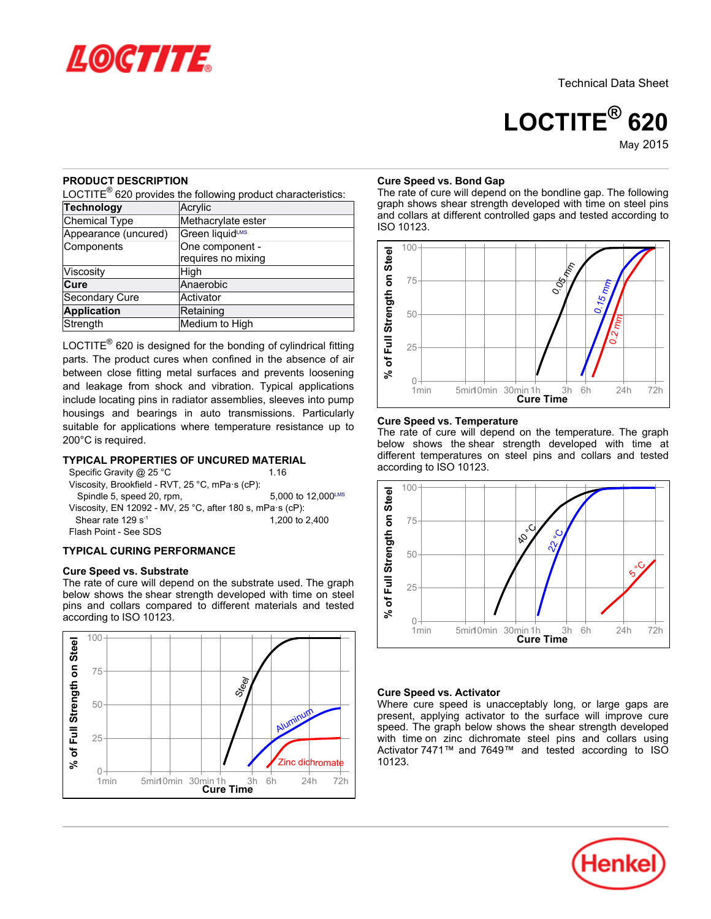

**LOCTITE® 620** May-2015

## **PRODUCT DESCRIPTION**

LOCTITE $^{\circledR}$  620 provides the following product characteristics:

| <b>Technology</b>     | Acrylic            |  |  |
|-----------------------|--------------------|--|--|
| Chemical Type         | Methacrylate ester |  |  |
| Appearance (uncured)  | Green liquidLMS    |  |  |
| Components            | One component -    |  |  |
|                       | requires no mixing |  |  |
| Viscosity             | High               |  |  |
| Cure                  | Anaerobic          |  |  |
| <b>Secondary Cure</b> | Activator          |  |  |
| <b>Application</b>    | Retaining          |  |  |
| Strength              | Medium to High     |  |  |

LOCTITE $^{\circledR}$  620 is designed for the bonding of cylindrical fitting parts. The product cures when confined in the absence of air between close fitting metal surfaces and prevents loosening and leakage from shock and vibration. Typical applications include locating pins in radiator assemblies, sleeves into pump housings and bearings in auto transmissions. Particularly suitable for applications where temperature resistance up to 200°C is required.

## **TYPICAL PROPERTIES OF UNCURED MATERIAL**

| Specific Gravity @ 25 °C                                          | 1 1 6              |
|-------------------------------------------------------------------|--------------------|
| Viscosity, Brookfield - RVT, 25 °C, mPa·s (cP):                   |                    |
| Spindle 5, speed 20, rpm,                                         | 5.000 to 12.000LMS |
| Viscosity, EN 12092 - MV, 25 °C, after 180 s, mPa $\cdot$ s (cP): |                    |
| Shear rate 129 $s^{-1}$                                           | 1.200 to 2.400     |
| Flash Point - See SDS                                             |                    |

## **TYPICAL CURING PERFORMANCE**

## **Cure Speed vs. Substrate**

The rate of cure will depend on the substrate used. The graph below shows the shear strength developed with time on steel pins and collars compared to different materials and tested according to ISO 10123.



## **Cure Speed vs. Bond Gap**

The rate of cure will depend on the bondline gap. The following graph shows shear strength developed with time on steel pins and collars at different controlled gaps and tested according to ISO 10123.



## **Cure Speed vs. Temperature**

The rate of cure will depend on the temperature. The graph below shows the shear strength developed with time at different temperatures on steel pins and collars and tested according to ISO 10123.



## **Cure Speed vs. Activator**

Where cure speed is unacceptably long, or large gaps are present, applying activator to the surface will improve cure speed. The graph below shows the shear strength developed with time on zinc dichromate steel pins and collars using Activator 7471™ and 7649™ and tested according to ISO 10123.

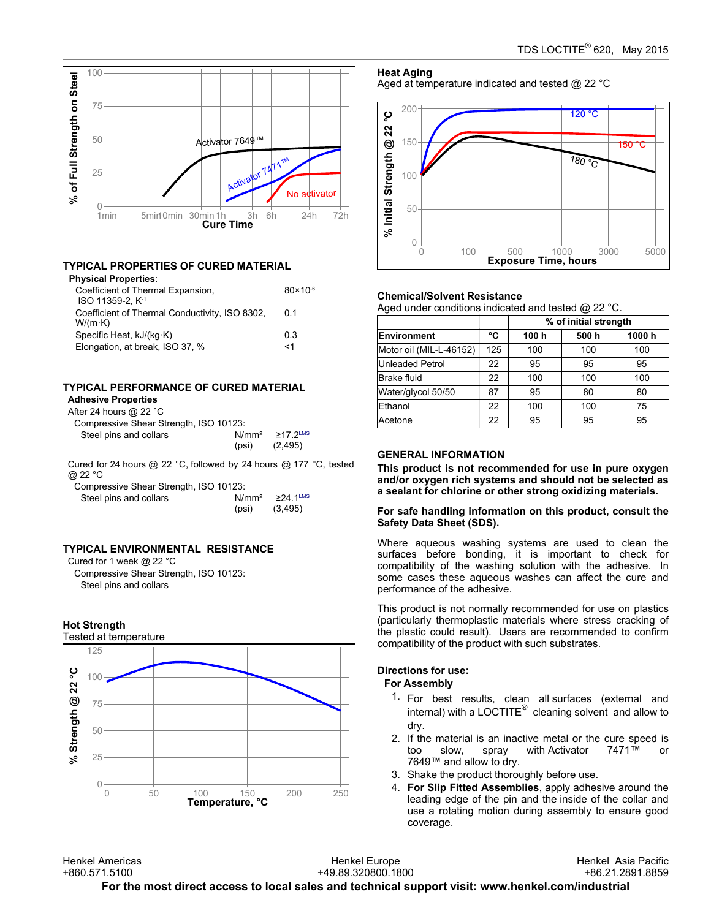

## **TYPICAL PROPERTIES OF CURED MATERIAL**

#### **Physical Properties**:

| Coefficient of Thermal Expansion,<br>ISO 11359-2. K <sup>-1</sup> | $80 \times 10^{-6}$ |
|-------------------------------------------------------------------|---------------------|
| Coefficient of Thermal Conductivity, ISO 8302,<br>$W/(m \cdot K)$ | 0 1                 |
| Specific Heat, kJ/(kg·K)                                          | 0.3                 |
| Elongation, at break, ISO 37, %                                   | <1                  |

# **TYPICAL PERFORMANCE OF CURED MATERIAL**

# **Adhesive Properties**

| After 24 hours @ 22 $^{\circ}$ C       |                            |                         |
|----------------------------------------|----------------------------|-------------------------|
| Compressive Shear Strength, ISO 10123: |                            |                         |
| Steel pins and collars                 | N/mm <sup>2</sup><br>(psi) | $>17.2$ LMS<br>(2, 495) |

Cured for 24 hours @ 22 °C, followed by 24 hours @ 177 °C, tested @ 22 °C

Compressive Shear Strength, ISO 10123:

| Steel pins and collars |       | $N/mm^2$ $\geq$ 24 1 <sup>LMS</sup> |
|------------------------|-------|-------------------------------------|
|                        | (psi) | (3, 495)                            |

## **TYPICAL ENVIRONMENTAL RESISTANCE**

Cured for 1 week @ 22 °C Compressive Shear Strength, ISO 10123: Steel pins and collars

## **Hot Strength**



**Heat Aging** Aged at temperature indicated and tested @ 22 °C



### **Chemical/Solvent Resistance**

Aged under conditions indicated and tested @ 22 °C.

|                         |     | % of initial strength |       |       |
|-------------------------|-----|-----------------------|-------|-------|
| Environment             | °C  | 100 h                 | 500 h | 1000h |
| Motor oil (MIL-L-46152) | 125 | 100                   | 100   | 100   |
| Unleaded Petrol         | 22  | 95                    | 95    | 95    |
| <b>Brake fluid</b>      | 22  | 100                   | 100   | 100   |
| Water/glycol 50/50      | 87  | 95                    | 80    | 80    |
| Ethanol                 | 22  | 100                   | 100   | 75    |
| Acetone                 | 22  | 95                    | 95    | 95    |

## **GENERAL INFORMATION**

**This product is not recommended for use in pure oxygen and/or oxygen rich systems and should not be selected as a sealant for chlorine or other strong oxidizing materials.**

### **For safe handling information on this product, consult the Safety Data Sheet (SDS).**

Where aqueous washing systems are used to clean the surfaces before bonding, it is important to check for compatibility of the washing solution with the adhesive. In some cases these aqueous washes can affect the cure and performance of the adhesive.

This product is not normally recommended for use on plastics (particularly thermoplastic materials where stress cracking of the plastic could result). Users are recommended to confirm compatibility of the product with such substrates.

## **Directions for use:**

## **For Assembly**

- 1. For best results, clean all surfaces (external and internal) with a LOCTITE $^{\circledR}$  cleaning solvent and allow to dry.
- 2. If the material is an inactive metal or the cure speed is too slow. spray with Activator  $7471^m$  or too slow, spray with Activator 7471™ or 7649™ and allow to dry.
- 3. Shake the product thoroughly before use.
- 4. **For Slip Fitted Assemblies**, apply adhesive around the leading edge of the pin and the inside of the collar and use a rotating motion during assembly to ensure good coverage.